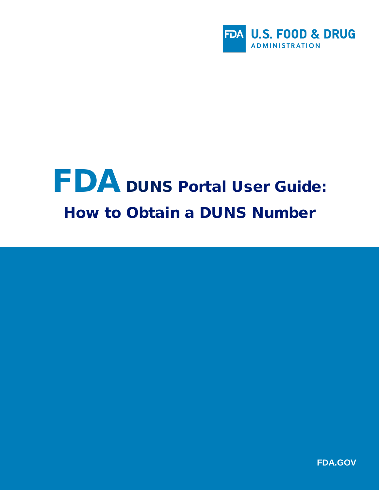

# FDA DUNS Portal User Guide: How to Obtain a DUNS Number

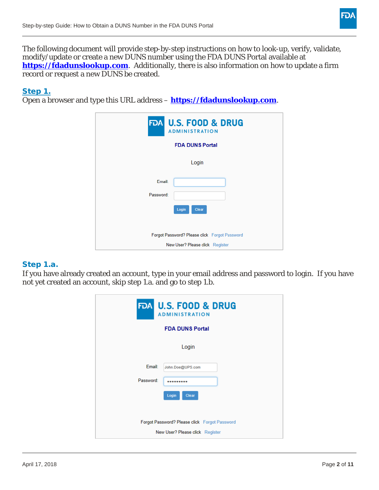

The following document will provide step-by-step instructions on how to look-up, verify, validate, modify/update or create a new DUNS number using the FDA DUNS Portal available at **[https://fdadunslookup.com](https://fdadunslookup.com/).** Additionally, there is also information on how to update a firm record or request a new DUNS be created.

# Step 1.

Open a browser and type this URL address – **[https://fdadunslookup.com](https://fdadunslookup.com/)**.

| <b>FDA U.S. FOOD &amp; DRUG</b>               |  |
|-----------------------------------------------|--|
| <b>ADMINISTRATION</b>                         |  |
| <b>FDA DUNS Portal</b>                        |  |
| Login                                         |  |
| Email:                                        |  |
| Password:                                     |  |
| Clear<br>Login                                |  |
| Forgot Password? Please click Forgot Password |  |
| New User? Please click Register               |  |

#### Step 1.a.

If you have already created an account, type in your email address and password to login. If you have not yet created an account, skip step 1.a. and go to step 1.b.

| <b>FDA U.S. FOOD &amp; DRUG</b><br><b>ADMINISTRATION</b>                         |  |
|----------------------------------------------------------------------------------|--|
| <b>FDA DUNS Portal</b>                                                           |  |
| Login                                                                            |  |
| Email:<br>John.Doe@UPS.com                                                       |  |
| Password:<br><br>Login<br>Clear                                                  |  |
| Forgot Password? Please click Forgot Password<br>New User? Please click Register |  |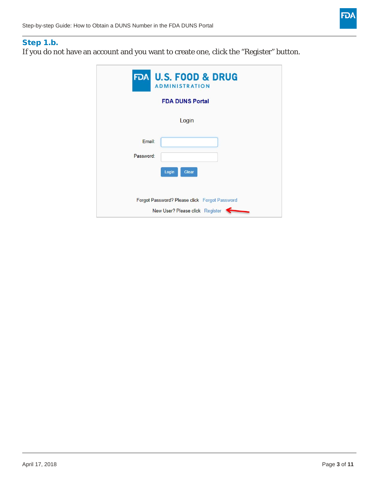

# Step 1.b.

If you do not have an account and you want to create one, click the "Register" button.

| <b>FDA U.S. FOOD &amp; DRUG</b><br><b>ADMINISTRATION</b>                         |  |  |
|----------------------------------------------------------------------------------|--|--|
| <b>FDA DUNS Portal</b>                                                           |  |  |
| Login                                                                            |  |  |
| Email:<br>Password:                                                              |  |  |
| Login<br>Clear                                                                   |  |  |
| Forgot Password? Please click Forgot Password<br>New User? Please click Register |  |  |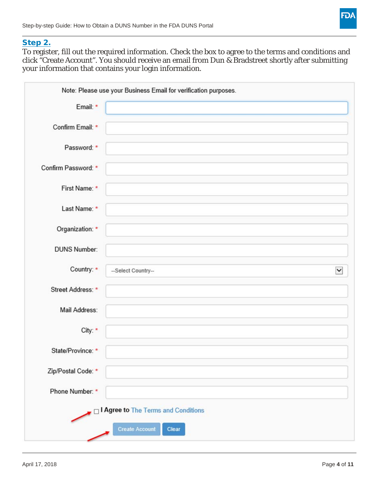

## Step 2.

To register, fill out the required information. Check the box to agree to the terms and conditions and click "Create Account". You should receive an email from Dun & Bradstreet shortly after submitting your information that contains your login information.

| Email: *            |                                     |  |
|---------------------|-------------------------------------|--|
| Confirm Email: *    |                                     |  |
| Password: *         |                                     |  |
| Confirm Password: * |                                     |  |
| First Name: *       |                                     |  |
| Last Name: *        |                                     |  |
| Organization: *     |                                     |  |
| <b>DUNS Number:</b> |                                     |  |
| Country: *          | --Select Country--                  |  |
| Street Address: *   |                                     |  |
| Mail Address:       |                                     |  |
| City: *             |                                     |  |
| State/Province: *   |                                     |  |
| Zip/Postal Code: *  |                                     |  |
| Phone Number: *     |                                     |  |
|                     | I Agree to The Terms and Conditions |  |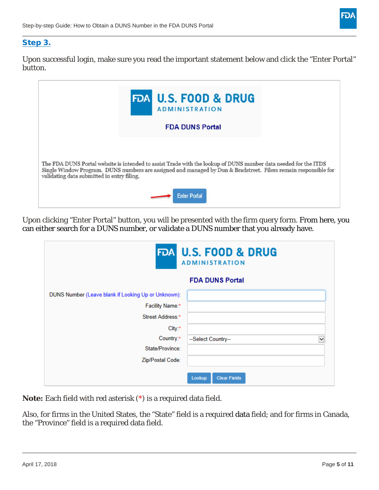

# Step 3.

Upon successful login, make sure you read the important statement below and click the "Enter Portal" button.

| FDA U.S. FOOD & DRUG<br><b>ADMINISTRATION</b>                                                                                                                                                                                                                                    |
|----------------------------------------------------------------------------------------------------------------------------------------------------------------------------------------------------------------------------------------------------------------------------------|
| <b>FDA DUNS Portal</b>                                                                                                                                                                                                                                                           |
| The FDA DUNS Portal website is intended to assist Trade with the lookup of DUNS number data needed for the ITDS<br>Single Window Program. DUNS numbers are assigned and managed by Dun & Bradstreet. Filers remain responsible for<br>validating data submitted in entry filing. |
| <b>Enter Portal</b>                                                                                                                                                                                                                                                              |

Upon clicking "Enter Portal" button, you will be presented with the firm query form. From here, you can either search for a DUNS number, or validate a DUNS number that you already have.

|                                                                                                      | <b>FDA U.S. FOOD &amp; DRUG</b><br><b>ADMINISTRATION</b><br><b>FDA DUNS Portal</b> |
|------------------------------------------------------------------------------------------------------|------------------------------------------------------------------------------------|
| DUNS Number (Leave blank if Looking Up or Unknown):<br>Facility Name:*<br>Street Address:*<br>City:* |                                                                                    |
| Country:*<br>State/Province:<br>Zip/Postal Code:                                                     | --Select Country--<br>$\checkmark$<br>Lookup<br><b>Clear Fields</b>                |

**Note:** Each field with red asterisk (\*) is a required data field.

Also, for firms in the United States, the "State" field is a required data field; and for firms in Canada, the "Province" field is a required data field.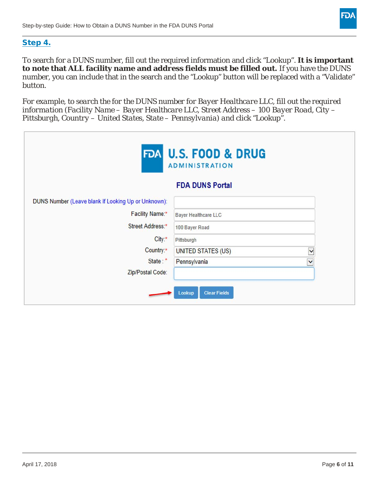

## Step 4.

To search for a DUNS number, fill out the required information and click "Lookup". **It is important to note that ALL facility name and address fields must be filled out.** If you have the DUNS number, you can include that in the search and the "Lookup" button will be replaced with a "Validate" button.

*For example, to search the for the DUNS number for Bayer Healthcare LLC, fill out the required information (Facility Name – Bayer Healthcare LLC, Street Address – 100 Bayer Road, City – Pittsburgh, Country – United States, State – Pennsylvania) and click "Lookup".* 

| FDA U.S. FOOD & DRUG<br><b>ADMINISTRATION</b>       |                                    |  |
|-----------------------------------------------------|------------------------------------|--|
|                                                     | <b>FDA DUNS Portal</b>             |  |
| DUNS Number (Leave blank if Looking Up or Unknown): |                                    |  |
| Facility Name:*                                     | <b>Bayer Healthcare LLC</b>        |  |
| Street Address:*                                    | 100 Bayer Road                     |  |
| $City.*$                                            | Pittsburgh                         |  |
| Country:*                                           | UNITED STATES (US)<br>$\checkmark$ |  |
| State:*                                             | Pennsylvania<br>$\checkmark$       |  |
| Zip/Postal Code:                                    |                                    |  |
|                                                     | <b>Clear Fields</b><br>Lookup      |  |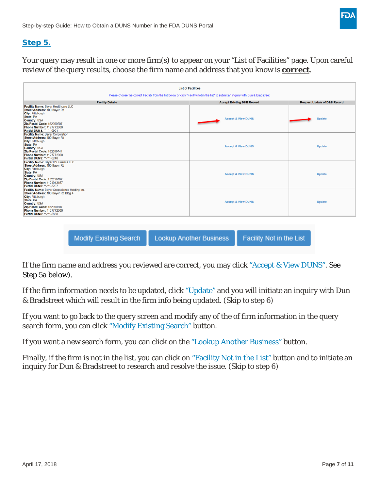

# Step 5.

Your query may result in one or more firm(s) to appear on your "List of Facilities" page. Upon careful review of the query results, choose the firm name and address that you know is **correct**.

| <b>List of Facilities</b>                                                                                                                                                                                                           |                                       |                                         |
|-------------------------------------------------------------------------------------------------------------------------------------------------------------------------------------------------------------------------------------|---------------------------------------|-----------------------------------------|
| Please choose the correct Facility from the list below or click "Facility not in the list" to submit an inquiry with Dun & Bradstreet.                                                                                              |                                       |                                         |
| <b>Facility Details</b>                                                                                                                                                                                                             | <b>Accept Existing D&amp;B Record</b> | <b>Request Update of D&amp;B Record</b> |
| Facility Name: Bayer Healthcare LLC<br>Street Address: 100 Bayer Rd<br><b>City: Pittsburgh</b><br>State: PA<br>Country: USA<br>Zip/Postal Code: 152059707<br>Phone Number: 4127772000<br>Partial DUNS: **-***-6961                  | <b>Accept &amp; View DUNS</b>         | Update                                  |
| <b>Facility Name: Bayer Corporation</b><br>Street Address: 100 Bayer Rd<br>City: Pittsburgh<br>State: PA<br>Country: USA<br>Zip/Postal Code: 152059741<br><b>Phone Number: 4127772000</b><br>Partial DUNS: **-***-0248              | <b>Accept &amp; View DUNS</b>         | <b>Update</b>                           |
| Facility Name: Bayer US Finance LLC<br>Street Address: 100 Bayer Rd<br>City: Pittsburgh<br>State: PA<br>Country: USA<br>Zip/Postal Code: 152059707<br><b>Phone Number: 4124943157</b><br>Partial DUNS: **-***-3207                  | <b>Accept &amp; View DUNS</b>         | <b>Update</b>                           |
| Facility Name: Bayer Cropscience Holding Inc.<br>Street Address: 100 Bayer Rd Bldg 4<br>City: Pittsburgh<br>State: PA<br>Country: USA<br>Zip/Postal Code: 152059707<br><b>Phone Number: 4127772000</b><br>Partial DUNS: "  ~ . 8838 | <b>Accept &amp; View DUNS</b>         | <b>Update</b>                           |

**Modify Existing Search Lookup Another Business** 

Facility Not in the List

If the firm name and address you reviewed are correct, you may click "Accept & View DUNS". See Step 5a below).

If the firm information needs to be updated, click "Update" and you will initiate an inquiry with Dun & Bradstreet which will result in the firm info being updated. *(Skip to step 6)*

If you want to go back to the query screen and modify any of the of firm information in the query search form, you can click "Modify Existing Search" button.

If you want a new search form, you can click on the "Lookup Another Business" button.

Finally, if the firm is not in the list, you can click on "Facility Not in the List" button and to initiate an inquiry for Dun & Bradstreet to research and resolve the issue. *(Skip to step 6)*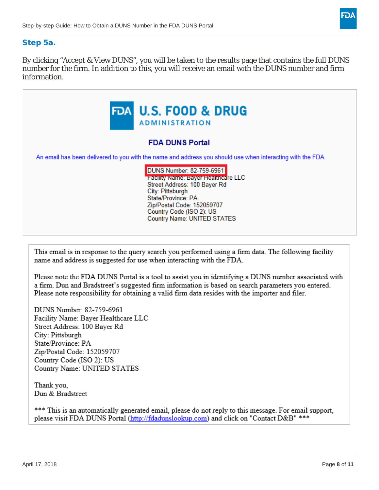

#### Step 5a.

By clicking "Accept & View DUNS", you will be taken to the results page that contains the full DUNS number for the firm. In addition to this, you will receive an email with the DUNS number and firm information.



This email is in response to the query search you performed using a firm data. The following facility name and address is suggested for use when interacting with the FDA.

Please note the FDA DUNS Portal is a tool to assist you in identifying a DUNS number associated with a firm. Dun and Bradstreet's suggested firm information is based on search parameters you entered. Please note responsibility for obtaining a valid firm data resides with the importer and filer.

DUNS Number: 82-759-6961 Facility Name: Bayer Healthcare LLC Street Address: 100 Bayer Rd City: Pittsburgh State/Province: PA Zip/Postal Code: 152059707 Country Code (ISO 2): US Country Name: UNITED STATES

Thank you, Dun & Bradstreet

\*\*\* This is an automatically generated email, please do not reply to this message. For email support, please visit FDA DUNS Portal (http://fdadunslookup.com) and click on "Contact D&B" \*\*\*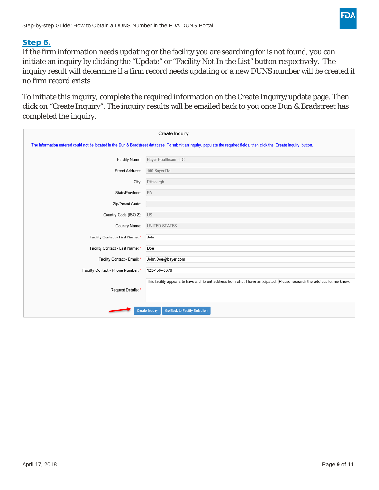

#### Step 6.

If the firm information needs updating or the facility you are searching for is not found, you can initiate an inquiry by clicking the "Update" or "Facility Not In the List" button respectively. The inquiry result will determine if a firm record needs updating or a new DUNS number will be created if no firm record exists.

To initiate this inquiry, complete the required information on the Create Inquiry/update page. Then click on "Create Inquiry". The inquiry results will be emailed back to you once Dun & Bradstreet has completed the inquiry.

| Create Inquiry                                                                                                                                                             |                                                                                                                          |  |
|----------------------------------------------------------------------------------------------------------------------------------------------------------------------------|--------------------------------------------------------------------------------------------------------------------------|--|
| The information entered could not be located in the Dun & Bradstreet database. To submit an inquiry, populate the required fields, then click the 'Create Inquiry' button. |                                                                                                                          |  |
| Facility Name:                                                                                                                                                             | Bayer Healthcare LLC                                                                                                     |  |
| Street Address:                                                                                                                                                            | 100 Bayer Rd                                                                                                             |  |
| City:                                                                                                                                                                      | Pittsburgh                                                                                                               |  |
| State/Province:                                                                                                                                                            | PA                                                                                                                       |  |
| Zip/Postal Code:                                                                                                                                                           |                                                                                                                          |  |
| Country Code (ISO 2):                                                                                                                                                      | <b>US</b>                                                                                                                |  |
| Country Name:                                                                                                                                                              | <b>UNITED STATES</b>                                                                                                     |  |
| Facility Contact - First Name: *                                                                                                                                           | John                                                                                                                     |  |
| Facility Contact - Last Name: *                                                                                                                                            | Doe                                                                                                                      |  |
| Facility Contact - Email: *                                                                                                                                                | John.Doe@bayer.com                                                                                                       |  |
| Facility Contact - Phone Number: *                                                                                                                                         | 123-456--5678                                                                                                            |  |
|                                                                                                                                                                            | This facility appears to have a different address from what I have anticipated. Please research the address let me know. |  |
| Request Details: *                                                                                                                                                         |                                                                                                                          |  |
|                                                                                                                                                                            |                                                                                                                          |  |
|                                                                                                                                                                            | <b>Go Back to Facility Selection</b><br><b>Create Inquiry</b>                                                            |  |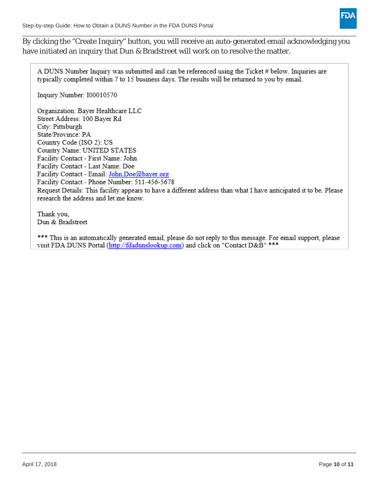

By clicking the "Create Inquiry" button, you will receive an auto-generated email acknowledging you have initiated an inquiry that Dun & Bradstreet will work on to resolve the matter.

A DUNS Number Inquiry was submitted and can be referenced using the Ticket # below. Inquiries are typically completed within 7 to 15 business days. The results will be returned to you by email.

Inquiry Number: I00010570

Organization: Bayer Healthcare LLC Street Address: 100 Bayer Rd City: Pittsburgh State/Province: PA Country Code (ISO 2): US Country Name: UNITED STATES Facility Contact - First Name: John Facility Contact - Last Name: Doe Facility Contact - Email: John.Doe@bayer.org Facility Contact - Phone Number: 511-456-5678 Request Details: This facility appears to have a different address than what I have anticipated it to be. Please research the address and let me know.

Thank you, Dun & Bradstreet

\*\*\* This is an automatically generated email, please do not reply to this message. For email support, please visit FDA DUNS Portal (http://fdadunslookup.com) and click on "Contact D&B" \*\*\*